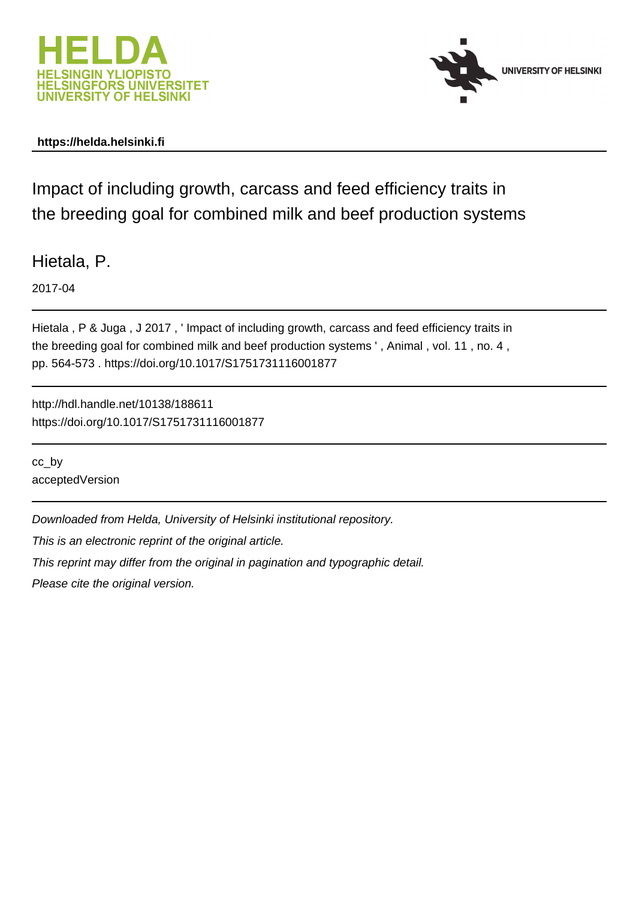



#### **https://helda.helsinki.fi**

Impact of including growth, carcass and feed efficiency traits in the breeding goal for combined milk and beef production systems

Hietala, P.

2017-04

Hietala , P & Juga , J 2017 , ' Impact of including growth, carcass and feed efficiency traits in the breeding goal for combined milk and beef production systems ' , Animal , vol. 11 , no. 4 , pp. 564-573 . https://doi.org/10.1017/S1751731116001877

http://hdl.handle.net/10138/188611 https://doi.org/10.1017/S1751731116001877

cc\_by acceptedVersion

Downloaded from Helda, University of Helsinki institutional repository.

This is an electronic reprint of the original article.

This reprint may differ from the original in pagination and typographic detail.

Please cite the original version.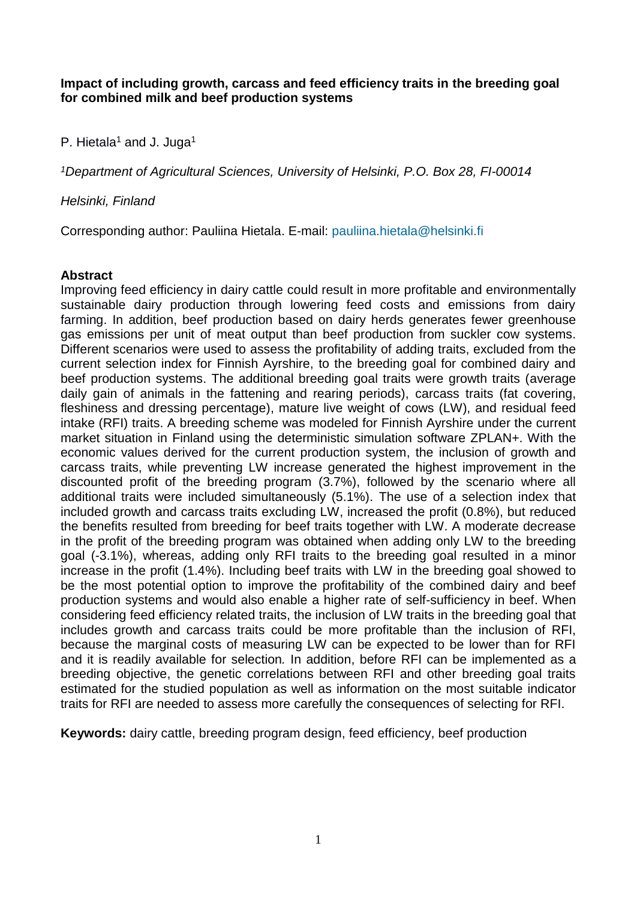**Impact of including growth, carcass and feed efficiency traits in the breeding goal for combined milk and beef production systems**

P. Hietala<sup>1</sup> and J. Juga<sup>1</sup>

*<sup>1</sup>Department of Agricultural Sciences, University of Helsinki, P.O. Box 28, FI-00014* 

#### *Helsinki, Finland*

Corresponding author: Pauliina Hietala. E-mail: [pauliina.hietala@helsinki.fi](mailto:pauliina.hietala@helsinki.fi)

#### **Abstract**

Improving feed efficiency in dairy cattle could result in more profitable and environmentally sustainable dairy production through lowering feed costs and emissions from dairy farming. In addition, beef production based on dairy herds generates fewer greenhouse gas emissions per unit of meat output than beef production from suckler cow systems. Different scenarios were used to assess the profitability of adding traits, excluded from the current selection index for Finnish Ayrshire, to the breeding goal for combined dairy and beef production systems. The additional breeding goal traits were growth traits (average daily gain of animals in the fattening and rearing periods), carcass traits (fat covering, fleshiness and dressing percentage), mature live weight of cows (LW), and residual feed intake (RFI) traits. A breeding scheme was modeled for Finnish Ayrshire under the current market situation in Finland using the deterministic simulation software ZPLAN+. With the economic values derived for the current production system, the inclusion of growth and carcass traits, while preventing LW increase generated the highest improvement in the discounted profit of the breeding program (3.7%), followed by the scenario where all additional traits were included simultaneously (5.1%). The use of a selection index that included growth and carcass traits excluding LW, increased the profit (0.8%), but reduced the benefits resulted from breeding for beef traits together with LW. A moderate decrease in the profit of the breeding program was obtained when adding only LW to the breeding goal (-3.1%), whereas, adding only RFI traits to the breeding goal resulted in a minor increase in the profit (1.4%). Including beef traits with LW in the breeding goal showed to be the most potential option to improve the profitability of the combined dairy and beef production systems and would also enable a higher rate of self-sufficiency in beef. When considering feed efficiency related traits, the inclusion of LW traits in the breeding goal that includes growth and carcass traits could be more profitable than the inclusion of RFI, because the marginal costs of measuring LW can be expected to be lower than for RFI and it is readily available for selection*.* In addition, before RFI can be implemented as a breeding objective, the genetic correlations between RFI and other breeding goal traits estimated for the studied population as well as information on the most suitable indicator traits for RFI are needed to assess more carefully the consequences of selecting for RFI.

**Keywords:** dairy cattle, breeding program design, feed efficiency, beef production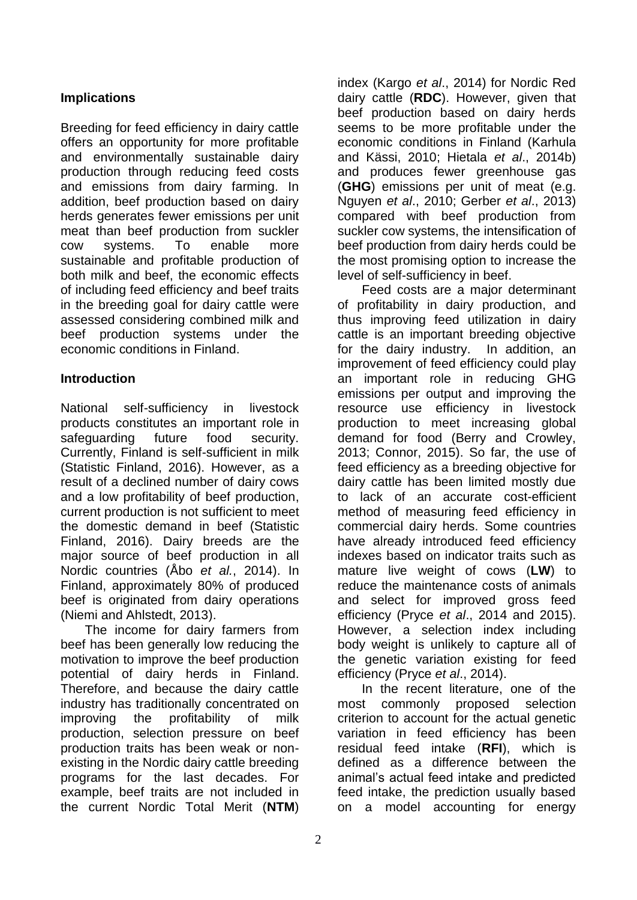## **Implications**

Breeding for feed efficiency in dairy cattle offers an opportunity for more profitable and environmentally sustainable dairy production through reducing feed costs and emissions from dairy farming. In addition, beef production based on dairy herds generates fewer emissions per unit meat than beef production from suckler cow systems. To enable more sustainable and profitable production of both milk and beef, the economic effects of including feed efficiency and beef traits in the breeding goal for dairy cattle were assessed considering combined milk and beef production systems under the economic conditions in Finland.

## **Introduction**

National self-sufficiency in livestock products constitutes an important role in safeguarding future food security. Currently, Finland is self-sufficient in milk (Statistic Finland, 2016). However, as a result of a declined number of dairy cows and a low profitability of beef production, current production is not sufficient to meet the domestic demand in beef (Statistic Finland, 2016). Dairy breeds are the major source of beef production in all Nordic countries (Åbo *et al.*, 2014). In Finland, approximately 80% of produced beef is originated from dairy operations (Niemi and Ahlstedt, 2013).

The income for dairy farmers from beef has been generally low reducing the motivation to improve the beef production potential of dairy herds in Finland. Therefore, and because the dairy cattle industry has traditionally concentrated on improving the profitability of milk production, selection pressure on beef production traits has been weak or nonexisting in the Nordic dairy cattle breeding programs for the last decades. For example, beef traits are not included in the current Nordic Total Merit (**NTM**)

index (Kargo *et al*., 2014) for Nordic Red dairy cattle (**RDC**). However, given that beef production based on dairy herds seems to be more profitable under the economic conditions in Finland (Karhula and Kässi, 2010; Hietala *et al*., 2014b) and produces fewer greenhouse gas (**GHG**) emissions per unit of meat (e.g. Nguyen *et al*., 2010; Gerber *et al*., 2013) compared with beef production from suckler cow systems, the intensification of beef production from dairy herds could be the most promising option to increase the level of self-sufficiency in beef.

Feed costs are a major determinant of profitability in dairy production, and thus improving feed utilization in dairy cattle is an important breeding objective for the dairy industry. In addition, an improvement of feed efficiency could play an important role in reducing GHG emissions per output and improving the resource use efficiency in livestock production to meet increasing global demand for food (Berry and Crowley, 2013; Connor, 2015). So far, the use of feed efficiency as a breeding objective for dairy cattle has been limited mostly due to lack of an accurate cost-efficient method of measuring feed efficiency in commercial dairy herds. Some countries have already introduced feed efficiency indexes based on indicator traits such as mature live weight of cows (**LW**) to reduce the maintenance costs of animals and select for improved gross feed efficiency (Pryce *et al*., 2014 and 2015). However, a selection index including body weight is unlikely to capture all of the genetic variation existing for feed efficiency (Pryce *et al*., 2014).

In the recent literature, one of the most commonly proposed selection criterion to account for the actual genetic variation in feed efficiency has been residual feed intake (**RFI**), which is defined as a difference between the animal's actual feed intake and predicted feed intake, the prediction usually based on a model accounting for energy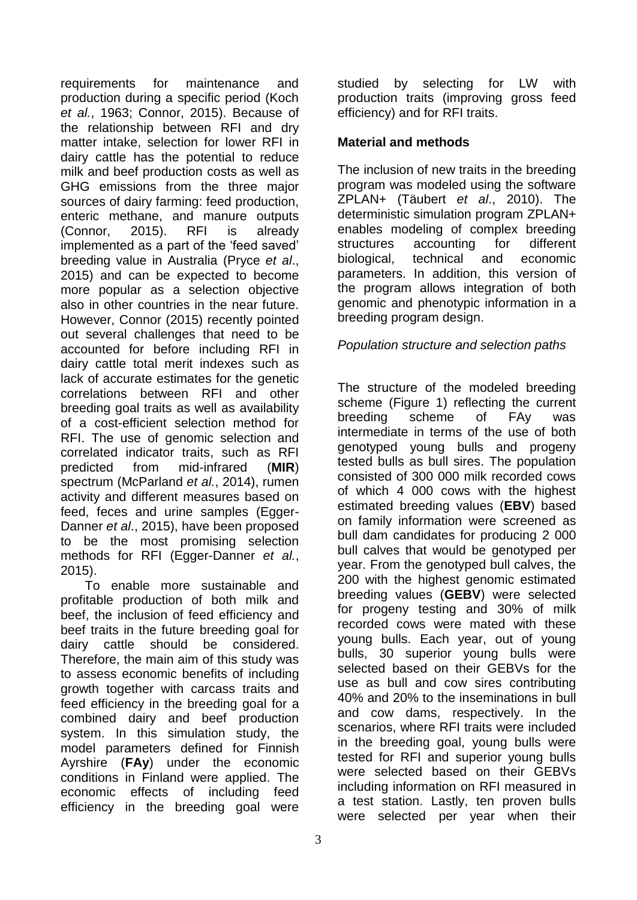requirements for maintenance and production during a specific period (Koch *et al.*, 1963; Connor, 2015). Because of the relationship between RFI and dry matter intake, selection for lower RFI in dairy cattle has the potential to reduce milk and beef production costs as well as GHG emissions from the three major sources of dairy farming: feed production, enteric methane, and manure outputs (Connor, 2015). RFI is already implemented as a part of the 'feed saved' breeding value in Australia (Pryce *et al*., 2015) and can be expected to become more popular as a selection objective also in other countries in the near future. However, Connor (2015) recently pointed out several challenges that need to be accounted for before including RFI in dairy cattle total merit indexes such as lack of accurate estimates for the genetic correlations between RFI and other breeding goal traits as well as availability of a cost-efficient selection method for RFI. The use of genomic selection and correlated indicator traits, such as RFI predicted from mid-infrared (**MIR**) spectrum (McParland *et al.*, 2014), rumen activity and different measures based on feed, feces and urine samples (Egger-Danner *et al*., 2015), have been proposed to be the most promising selection methods for RFI (Egger-Danner *et al.*, 2015).

To enable more sustainable and profitable production of both milk and beef, the inclusion of feed efficiency and beef traits in the future breeding goal for dairy cattle should be considered. Therefore, the main aim of this study was to assess economic benefits of including growth together with carcass traits and feed efficiency in the breeding goal for a combined dairy and beef production system. In this simulation study, the model parameters defined for Finnish Ayrshire (**FAy**) under the economic conditions in Finland were applied. The economic effects of including feed efficiency in the breeding goal were

studied by selecting for LW with production traits (improving gross feed efficiency) and for RFI traits.

## **Material and methods**

The inclusion of new traits in the breeding program was modeled using the software ZPLAN+ (Täubert *et al*., 2010). The deterministic simulation program ZPLAN+ enables modeling of complex breeding structures accounting for different biological, technical and economic parameters. In addition, this version of the program allows integration of both genomic and phenotypic information in a breeding program design.

#### *Population structure and selection paths*

The structure of the modeled breeding scheme (Figure 1) reflecting the current breeding scheme of FAy was intermediate in terms of the use of both genotyped young bulls and progeny tested bulls as bull sires. The population consisted of 300 000 milk recorded cows of which 4 000 cows with the highest estimated breeding values (**EBV**) based on family information were screened as bull dam candidates for producing 2 000 bull calves that would be genotyped per year. From the genotyped bull calves, the 200 with the highest genomic estimated breeding values (**GEBV**) were selected for progeny testing and 30% of milk recorded cows were mated with these young bulls. Each year, out of young bulls, 30 superior young bulls were selected based on their GEBVs for the use as bull and cow sires contributing 40% and 20% to the inseminations in bull and cow dams, respectively. In the scenarios, where RFI traits were included in the breeding goal, young bulls were tested for RFI and superior young bulls were selected based on their GEBVs including information on RFI measured in a test station. Lastly, ten proven bulls were selected per year when their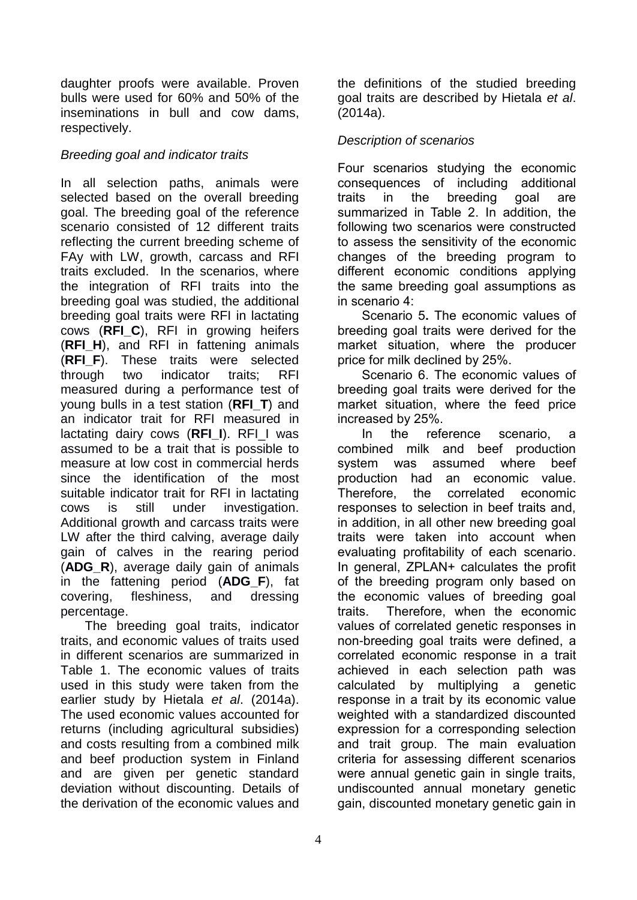daughter proofs were available. Proven bulls were used for 60% and 50% of the inseminations in bull and cow dams, respectively.

## *Breeding goal and indicator traits*

In all selection paths, animals were selected based on the overall breeding goal. The breeding goal of the reference scenario consisted of 12 different traits reflecting the current breeding scheme of FAy with LW, growth, carcass and RFI traits excluded. In the scenarios, where the integration of RFI traits into the breeding goal was studied, the additional breeding goal traits were RFI in lactating cows (**RFI\_C**), RFI in growing heifers (**RFI\_H**), and RFI in fattening animals (**RFI\_F**). These traits were selected through two indicator traits; RFI measured during a performance test of young bulls in a test station (**RFI\_T**) and an indicator trait for RFI measured in lactating dairy cows (**RFI\_I**). RFI\_I was assumed to be a trait that is possible to measure at low cost in commercial herds since the identification of the most suitable indicator trait for RFI in lactating cows is still under investigation. Additional growth and carcass traits were LW after the third calving, average daily gain of calves in the rearing period (**ADG\_R**), average daily gain of animals in the fattening period (**ADG\_F**), fat covering, fleshiness, and dressing percentage.

The breeding goal traits, indicator traits, and economic values of traits used in different scenarios are summarized in Table 1. The economic values of traits used in this study were taken from the earlier study by Hietala *et al*. (2014a). The used economic values accounted for returns (including agricultural subsidies) and costs resulting from a combined milk and beef production system in Finland and are given per genetic standard deviation without discounting. Details of the derivation of the economic values and

the definitions of the studied breeding goal traits are described by Hietala *et al*. (2014a).

## *Description of scenarios*

Four scenarios studying the economic consequences of including additional traits in the breeding goal are summarized in Table 2. In addition, the following two scenarios were constructed to assess the sensitivity of the economic changes of the breeding program to different economic conditions applying the same breeding goal assumptions as in scenario 4:

Scenario 5**.** The economic values of breeding goal traits were derived for the market situation, where the producer price for milk declined by 25%.

Scenario 6. The economic values of breeding goal traits were derived for the market situation, where the feed price increased by 25%.

In the reference scenario, a combined milk and beef production system was assumed where beef production had an economic value. Therefore, the correlated economic responses to selection in beef traits and, in addition, in all other new breeding goal traits were taken into account when evaluating profitability of each scenario. In general, ZPLAN+ calculates the profit of the breeding program only based on the economic values of breeding goal traits. Therefore, when the economic values of correlated genetic responses in non-breeding goal traits were defined, a correlated economic response in a trait achieved in each selection path was calculated by multiplying a genetic response in a trait by its economic value weighted with a standardized discounted expression for a corresponding selection and trait group. The main evaluation criteria for assessing different scenarios were annual genetic gain in single traits, undiscounted annual monetary genetic gain, discounted monetary genetic gain in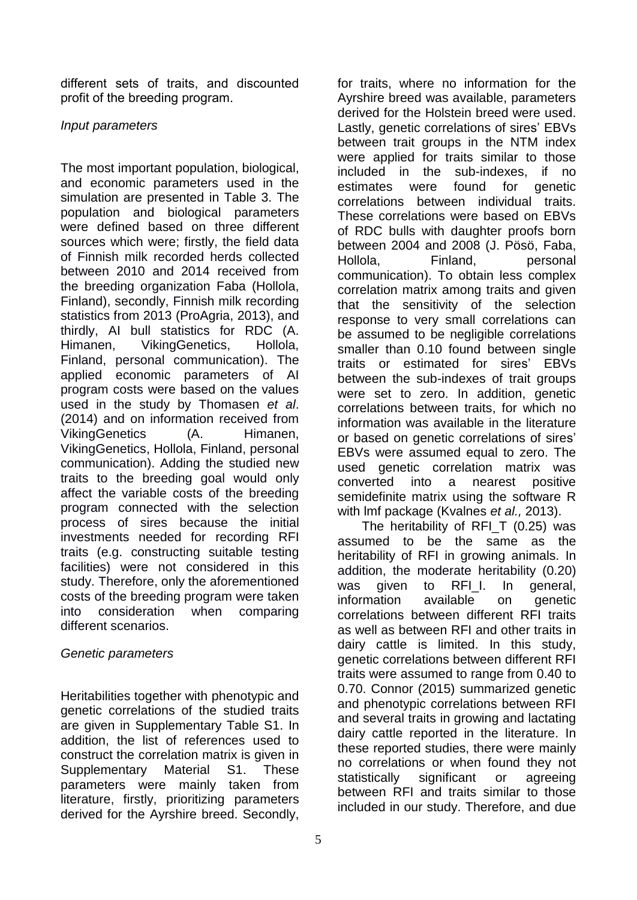different sets of traits, and discounted profit of the breeding program.

# *Input parameters*

The most important population, biological, and economic parameters used in the simulation are presented in Table 3. The population and biological parameters were defined based on three different sources which were; firstly, the field data of Finnish milk recorded herds collected between 2010 and 2014 received from the breeding organization Faba (Hollola, Finland), secondly, Finnish milk recording statistics from 2013 (ProAgria, 2013), and thirdly, AI bull statistics for RDC (A. Himanen, VikingGenetics, Hollola, Finland, personal communication). The applied economic parameters of AI program costs were based on the values used in the study by Thomasen *et al*. (2014) and on information received from VikingGenetics (A. Himanen, VikingGenetics, Hollola, Finland, personal communication). Adding the studied new traits to the breeding goal would only affect the variable costs of the breeding program connected with the selection process of sires because the initial investments needed for recording RFI traits (e.g. constructing suitable testing facilities) were not considered in this study. Therefore, only the aforementioned costs of the breeding program were taken into consideration when comparing different scenarios.

## *Genetic parameters*

Heritabilities together with phenotypic and genetic correlations of the studied traits are given in Supplementary Table S1. In addition, the list of references used to construct the correlation matrix is given in Supplementary Material S1. These parameters were mainly taken from literature, firstly, prioritizing parameters derived for the Ayrshire breed. Secondly, for traits, where no information for the Ayrshire breed was available, parameters derived for the Holstein breed were used. Lastly, genetic correlations of sires' EBVs between trait groups in the NTM index were applied for traits similar to those included in the sub-indexes, if no estimates were found for genetic correlations between individual traits. These correlations were based on EBVs of RDC bulls with daughter proofs born between 2004 and 2008 (J. Pösö, Faba, Hollola, Finland, personal communication). To obtain less complex correlation matrix among traits and given that the sensitivity of the selection response to very small correlations can be assumed to be negligible correlations smaller than 0.10 found between single traits or estimated for sires' EBVs between the sub-indexes of trait groups were set to zero. In addition, genetic correlations between traits, for which no information was available in the literature or based on genetic correlations of sires' EBVs were assumed equal to zero. The used genetic correlation matrix was converted into a nearest positive semidefinite matrix using the software R with lmf package (Kvalnes *et al.,* 2013).

The heritability of RFI T  $(0.25)$  was assumed to be the same as the heritability of RFI in growing animals. In addition, the moderate heritability (0.20) was given to RFIL. In general, information available on genetic correlations between different RFI traits as well as between RFI and other traits in dairy cattle is limited. In this study, genetic correlations between different RFI traits were assumed to range from 0.40 to 0.70. Connor (2015) summarized genetic and phenotypic correlations between RFI and several traits in growing and lactating dairy cattle reported in the literature. In these reported studies, there were mainly no correlations or when found they not statistically significant or agreeing between RFI and traits similar to those included in our study. Therefore, and due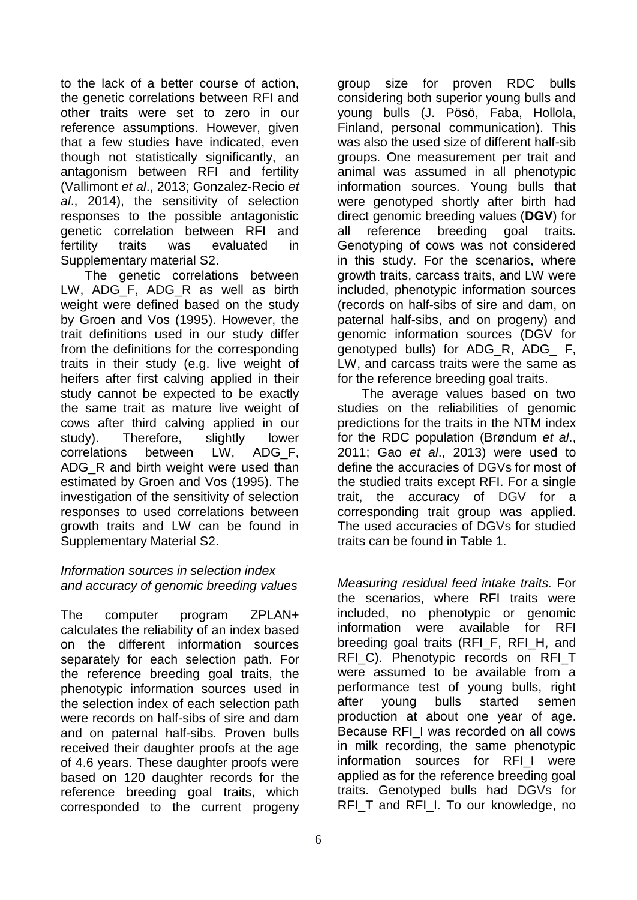to the lack of a better course of action, the genetic correlations between RFI and other traits were set to zero in our reference assumptions. However, given that a few studies have indicated, even though not statistically significantly, an antagonism between RFI and fertility (Vallimont *et al*., 2013; Gonzalez-Recio *et al*., 2014), the sensitivity of selection responses to the possible antagonistic genetic correlation between RFI and fertility traits was evaluated in Supplementary material S2.

The genetic correlations between LW, ADG F, ADG R as well as birth weight were defined based on the study by Groen and Vos (1995). However, the trait definitions used in our study differ from the definitions for the corresponding traits in their study (e.g. live weight of heifers after first calving applied in their study cannot be expected to be exactly the same trait as mature live weight of cows after third calving applied in our study). Therefore, slightly lower correlations between LW, ADG\_F, ADG R and birth weight were used than estimated by Groen and Vos (1995). The investigation of the sensitivity of selection responses to used correlations between growth traits and LW can be found in Supplementary Material S2.

#### *Information sources in selection index and accuracy of genomic breeding values*

The computer program ZPLAN+ calculates the reliability of an index based on the different information sources separately for each selection path. For the reference breeding goal traits, the phenotypic information sources used in the selection index of each selection path were records on half-sibs of sire and dam and on paternal half-sibs*.* Proven bulls received their daughter proofs at the age of 4.6 years. These daughter proofs were based on 120 daughter records for the reference breeding goal traits, which corresponded to the current progeny group size for proven RDC bulls considering both superior young bulls and young bulls (J. Pösö, Faba, Hollola, Finland, personal communication). This was also the used size of different half-sib groups. One measurement per trait and animal was assumed in all phenotypic information sources. Young bulls that were genotyped shortly after birth had direct genomic breeding values (**DGV**) for all reference breeding goal traits. Genotyping of cows was not considered in this study. For the scenarios, where growth traits, carcass traits, and LW were included, phenotypic information sources (records on half-sibs of sire and dam, on paternal half-sibs, and on progeny) and genomic information sources (DGV for genotyped bulls) for ADG\_R, ADG\_ F, LW, and carcass traits were the same as for the reference breeding goal traits.

The average values based on two studies on the reliabilities of genomic predictions for the traits in the NTM index for the RDC population (Brøndum *et al*., 2011; Gao *et al*., 2013) were used to define the accuracies of DGVs for most of the studied traits except RFI. For a single trait, the accuracy of DGV for a corresponding trait group was applied. The used accuracies of DGVs for studied traits can be found in Table 1.

*Measuring residual feed intake traits.* For the scenarios, where RFI traits were included, no phenotypic or genomic information were available for RFI breeding goal traits (RFI\_F, RFI\_H, and RFI\_C). Phenotypic records on RFI\_T were assumed to be available from a performance test of young bulls, right after young bulls started semen production at about one year of age. Because RFI\_I was recorded on all cows in milk recording, the same phenotypic information sources for RFII were applied as for the reference breeding goal traits. Genotyped bulls had DGVs for RFI\_T and RFI\_I. To our knowledge, no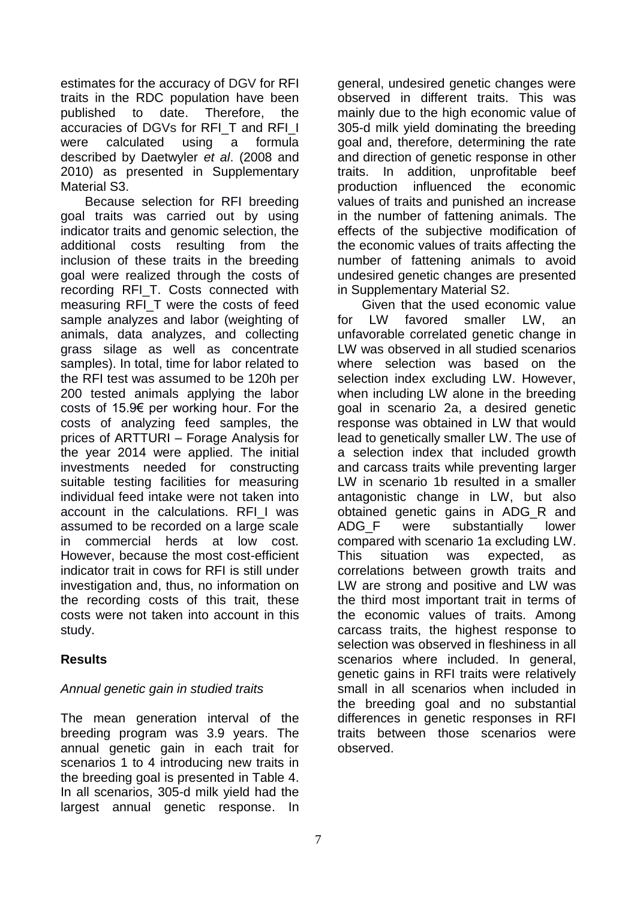estimates for the accuracy of DGV for RFI traits in the RDC population have been published to date. Therefore, the accuracies of DGVs for RFI\_T and RFI\_I were calculated using a formula described by Daetwyler *et al*. (2008 and 2010) as presented in Supplementary Material S3.

Because selection for RFI breeding goal traits was carried out by using indicator traits and genomic selection, the additional costs resulting from the inclusion of these traits in the breeding goal were realized through the costs of recording RFI\_T. Costs connected with measuring RFI\_T were the costs of feed sample analyzes and labor (weighting of animals, data analyzes, and collecting grass silage as well as concentrate samples). In total, time for labor related to the RFI test was assumed to be 120h per 200 tested animals applying the labor costs of 15.9€ per working hour. For the costs of analyzing feed samples, the prices of ARTTURI – Forage Analysis for the year 2014 were applied. The initial investments needed for constructing suitable testing facilities for measuring individual feed intake were not taken into account in the calculations. RFI I was assumed to be recorded on a large scale in commercial herds at low cost. However, because the most cost-efficient indicator trait in cows for RFI is still under investigation and, thus, no information on the recording costs of this trait, these costs were not taken into account in this study.

# **Results**

## *Annual genetic gain in studied traits*

The mean generation interval of the breeding program was 3.9 years. The annual genetic gain in each trait for scenarios 1 to 4 introducing new traits in the breeding goal is presented in Table 4. In all scenarios, 305-d milk yield had the largest annual genetic response. In general, undesired genetic changes were observed in different traits. This was mainly due to the high economic value of 305-d milk yield dominating the breeding goal and, therefore, determining the rate and direction of genetic response in other traits. In addition, unprofitable beef production influenced the economic values of traits and punished an increase in the number of fattening animals. The effects of the subjective modification of the economic values of traits affecting the number of fattening animals to avoid undesired genetic changes are presented in Supplementary Material S2.

Given that the used economic value for LW favored smaller LW, an unfavorable correlated genetic change in LW was observed in all studied scenarios where selection was based on the selection index excluding LW. However, when including LW alone in the breeding goal in scenario 2a, a desired genetic response was obtained in LW that would lead to genetically smaller LW. The use of a selection index that included growth and carcass traits while preventing larger LW in scenario 1b resulted in a smaller antagonistic change in LW, but also obtained genetic gains in ADG\_R and ADG\_F were substantially lower compared with scenario 1a excluding LW. This situation was expected, as correlations between growth traits and LW are strong and positive and LW was the third most important trait in terms of the economic values of traits. Among carcass traits, the highest response to selection was observed in fleshiness in all scenarios where included. In general, genetic gains in RFI traits were relatively small in all scenarios when included in the breeding goal and no substantial differences in genetic responses in RFI traits between those scenarios were observed.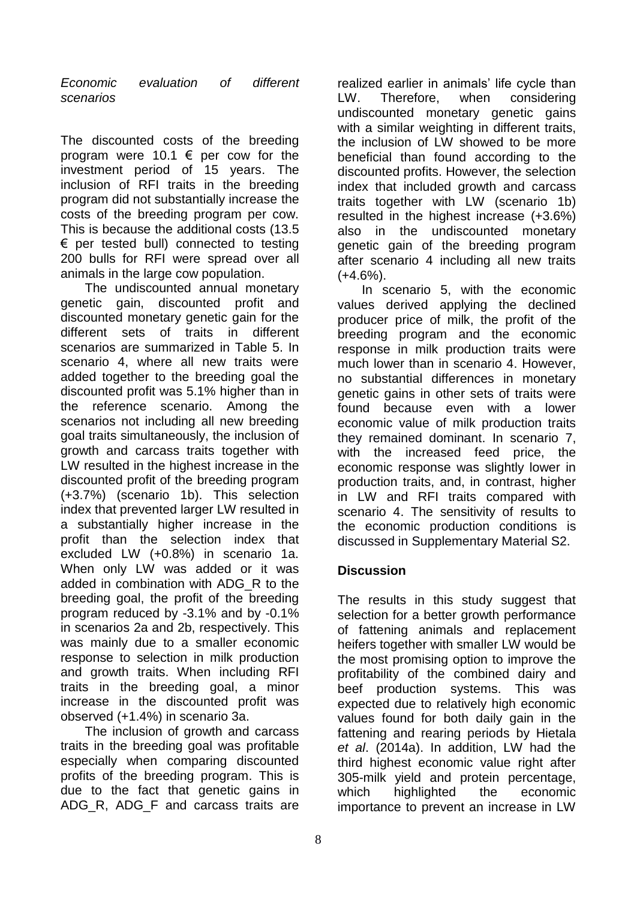#### *Economic evaluation of different scenarios*

The discounted costs of the breeding program were 10.1  $\epsilon$  per cow for the investment period of 15 years. The inclusion of RFI traits in the breeding program did not substantially increase the costs of the breeding program per cow. This is because the additional costs (13.5  $\epsilon$  per tested bull) connected to testing 200 bulls for RFI were spread over all animals in the large cow population.

The undiscounted annual monetary genetic gain, discounted profit and discounted monetary genetic gain for the different sets of traits in different scenarios are summarized in Table 5. In scenario 4, where all new traits were added together to the breeding goal the discounted profit was 5.1% higher than in the reference scenario. Among the scenarios not including all new breeding goal traits simultaneously, the inclusion of growth and carcass traits together with LW resulted in the highest increase in the discounted profit of the breeding program (+3.7%) (scenario 1b). This selection index that prevented larger LW resulted in a substantially higher increase in the profit than the selection index that excluded LW (+0.8%) in scenario 1a. When only LW was added or it was added in combination with ADG\_R to the breeding goal, the profit of the breeding program reduced by -3.1% and by -0.1% in scenarios 2a and 2b, respectively. This was mainly due to a smaller economic response to selection in milk production and growth traits. When including RFI traits in the breeding goal, a minor increase in the discounted profit was observed (+1.4%) in scenario 3a.

The inclusion of growth and carcass traits in the breeding goal was profitable especially when comparing discounted profits of the breeding program. This is due to the fact that genetic gains in ADG\_R, ADG\_F and carcass traits are

realized earlier in animals' life cycle than LW. Therefore, when considering undiscounted monetary genetic gains with a similar weighting in different traits, the inclusion of LW showed to be more beneficial than found according to the discounted profits. However, the selection index that included growth and carcass traits together with LW (scenario 1b) resulted in the highest increase (+3.6%) also in the undiscounted monetary genetic gain of the breeding program after scenario 4 including all new traits  $(+4.6\%)$ .

In scenario 5, with the economic values derived applying the declined producer price of milk, the profit of the breeding program and the economic response in milk production traits were much lower than in scenario 4. However, no substantial differences in monetary genetic gains in other sets of traits were found because even with a lower economic value of milk production traits they remained dominant. In scenario 7, with the increased feed price, the economic response was slightly lower in production traits, and, in contrast, higher in LW and RFI traits compared with scenario 4. The sensitivity of results to the economic production conditions is discussed in Supplementary Material S2.

## **Discussion**

The results in this study suggest that selection for a better growth performance of fattening animals and replacement heifers together with smaller LW would be the most promising option to improve the profitability of the combined dairy and beef production systems. This was expected due to relatively high economic values found for both daily gain in the fattening and rearing periods by Hietala *et al*. (2014a). In addition, LW had the third highest economic value right after 305-milk yield and protein percentage, which highlighted the economic importance to prevent an increase in LW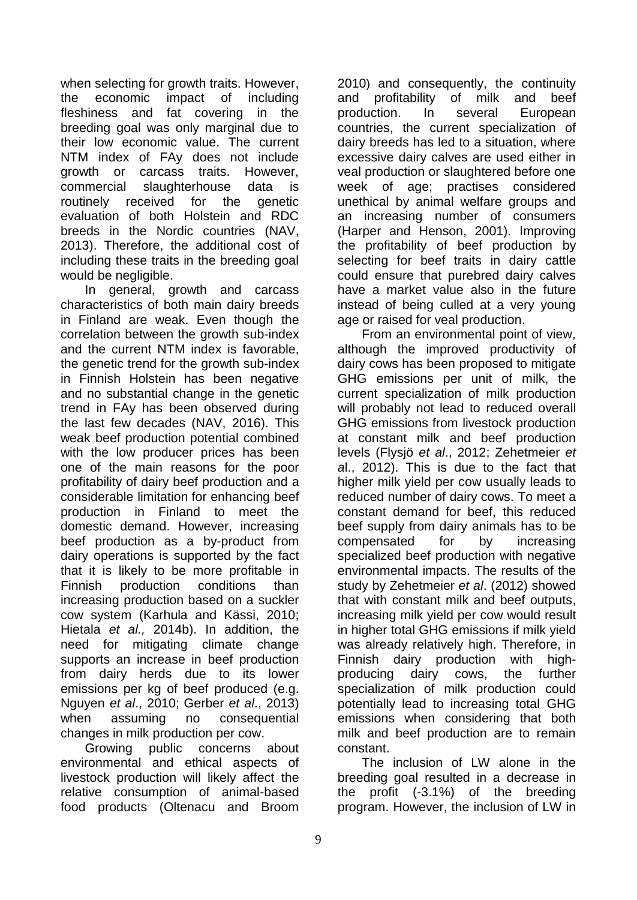when selecting for growth traits. However, the economic impact of including fleshiness and fat covering in the breeding goal was only marginal due to their low economic value. The current NTM index of FAy does not include growth or carcass traits. However, commercial slaughterhouse data is routinely received for the genetic evaluation of both Holstein and RDC breeds in the Nordic countries (NAV, 2013). Therefore, the additional cost of including these traits in the breeding goal would be negligible.

In general, growth and carcass characteristics of both main dairy breeds in Finland are weak. Even though the correlation between the growth sub-index and the current NTM index is favorable, the genetic trend for the growth sub-index in Finnish Holstein has been negative and no substantial change in the genetic trend in FAy has been observed during the last few decades (NAV, 2016). This weak beef production potential combined with the low producer prices has been one of the main reasons for the poor profitability of dairy beef production and a considerable limitation for enhancing beef production in Finland to meet the domestic demand. However, increasing beef production as a by-product from dairy operations is supported by the fact that it is likely to be more profitable in Finnish production conditions than increasing production based on a suckler cow system (Karhula and Kässi, 2010; Hietala *et al.,* 2014b). In addition, the need for mitigating climate change supports an increase in beef production from dairy herds due to its lower emissions per kg of beef produced (e.g. Nguyen *et al*., 2010; Gerber *et al*., 2013) when assuming no consequential changes in milk production per cow.

Growing public concerns about environmental and ethical aspects of livestock production will likely affect the relative consumption of animal-based food products (Oltenacu and Broom

2010) and consequently, the continuity and profitability of milk and beef production. In several European countries, the current specialization of dairy breeds has led to a situation, where excessive dairy calves are used either in veal production or slaughtered before one week of age; practises considered unethical by animal welfare groups and an increasing number of consumers (Harper and Henson, 2001). Improving the profitability of beef production by selecting for beef traits in dairy cattle could ensure that purebred dairy calves have a market value also in the future instead of being culled at a very young age or raised for veal production.

From an environmental point of view, although the improved productivity of dairy cows has been proposed to mitigate GHG emissions per unit of milk, the current specialization of milk production will probably not lead to reduced overall GHG emissions from livestock production at constant milk and beef production levels (Flysjö *et al*., 2012; Zehetmeier *et a*l., 2012). This is due to the fact that higher milk yield per cow usually leads to reduced number of dairy cows. To meet a constant demand for beef, this reduced beef supply from dairy animals has to be compensated for by increasing specialized beef production with negative environmental impacts. The results of the study by Zehetmeier *et al*. (2012) showed that with constant milk and beef outputs, increasing milk yield per cow would result in higher total GHG emissions if milk yield was already relatively high. Therefore, in Finnish dairy production with highproducing dairy cows, the further specialization of milk production could potentially lead to increasing total GHG emissions when considering that both milk and beef production are to remain constant.

The inclusion of LW alone in the breeding goal resulted in a decrease in the profit (-3.1%) of the breeding program. However, the inclusion of LW in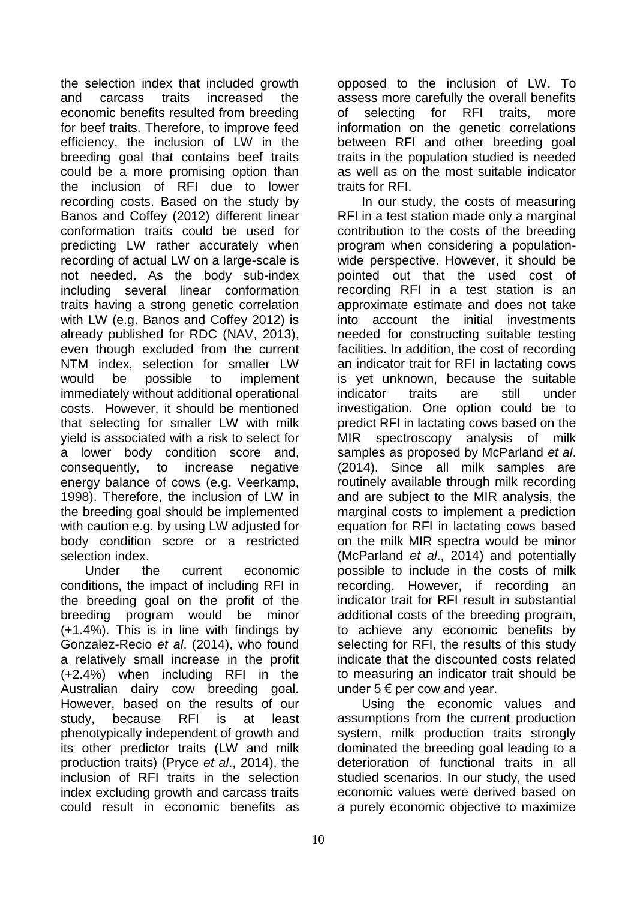the selection index that included growth and carcass traits increased the economic benefits resulted from breeding for beef traits. Therefore, to improve feed efficiency, the inclusion of LW in the breeding goal that contains beef traits could be a more promising option than the inclusion of RFI due to lower recording costs. Based on the study by Banos and Coffey (2012) different linear conformation traits could be used for predicting LW rather accurately when recording of actual LW on a large-scale is not needed. As the body sub-index including several linear conformation traits having a strong genetic correlation with LW (e.g. Banos and Coffey 2012) is already published for RDC (NAV, 2013), even though excluded from the current NTM index, selection for smaller LW would be possible to implement immediately without additional operational costs. However, it should be mentioned that selecting for smaller LW with milk yield is associated with a risk to select for a lower body condition score and, consequently, to increase negative energy balance of cows (e.g. Veerkamp, 1998). Therefore, the inclusion of LW in the breeding goal should be implemented with caution e.g. by using LW adjusted for body condition score or a restricted selection index.

Under the current economic conditions, the impact of including RFI in the breeding goal on the profit of the breeding program would be minor (+1.4%). This is in line with findings by Gonzalez-Recio *et al*. (2014), who found a relatively small increase in the profit (+2.4%) when including RFI in the Australian dairy cow breeding goal. However, based on the results of our study, because RFI is at least phenotypically independent of growth and its other predictor traits (LW and milk production traits) (Pryce *et al*., 2014), the inclusion of RFI traits in the selection index excluding growth and carcass traits could result in economic benefits as

opposed to the inclusion of LW. To assess more carefully the overall benefits of selecting for RFI traits, more information on the genetic correlations between RFI and other breeding goal traits in the population studied is needed as well as on the most suitable indicator traits for RFI.

In our study, the costs of measuring RFI in a test station made only a marginal contribution to the costs of the breeding program when considering a populationwide perspective. However, it should be pointed out that the used cost of recording RFI in a test station is an approximate estimate and does not take into account the initial investments needed for constructing suitable testing facilities. In addition, the cost of recording an indicator trait for RFI in lactating cows is yet unknown, because the suitable indicator traits are still under investigation. One option could be to predict RFI in lactating cows based on the MIR spectroscopy analysis of milk samples as proposed by McParland *et al*. (2014). Since all milk samples are routinely available through milk recording and are subject to the MIR analysis, the marginal costs to implement a prediction equation for RFI in lactating cows based on the milk MIR spectra would be minor (McParland *et al*., 2014) and potentially possible to include in the costs of milk recording. However, if recording an indicator trait for RFI result in substantial additional costs of the breeding program, to achieve any economic benefits by selecting for RFI, the results of this study indicate that the discounted costs related to measuring an indicator trait should be under  $5 \notin \text{per}$  cow and year.

Using the economic values and assumptions from the current production system, milk production traits strongly dominated the breeding goal leading to a deterioration of functional traits in all studied scenarios. In our study, the used economic values were derived based on a purely economic objective to maximize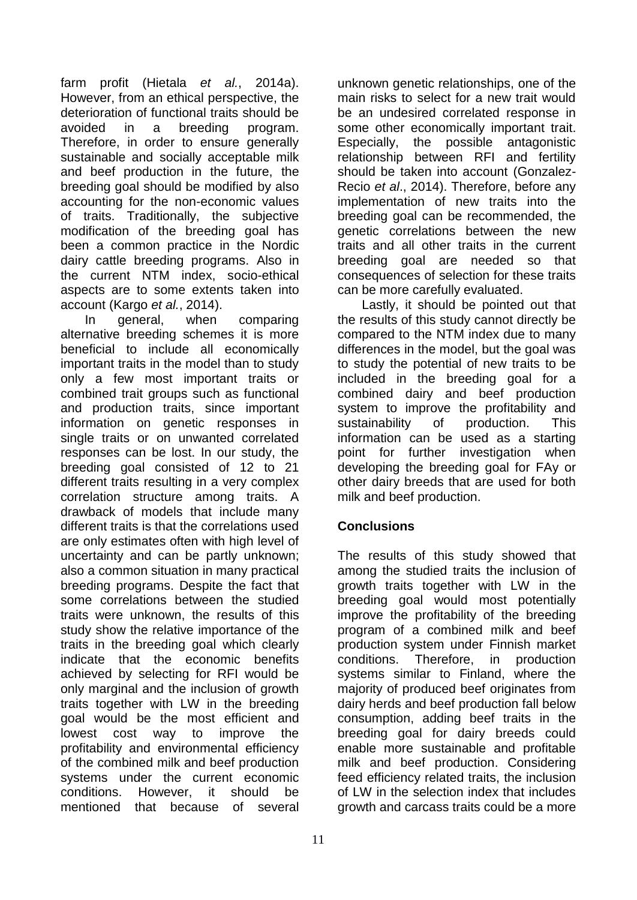farm profit (Hietala *et al.*, 2014a). However, from an ethical perspective, the deterioration of functional traits should be avoided in a breeding program. Therefore, in order to ensure generally sustainable and socially acceptable milk and beef production in the future, the breeding goal should be modified by also accounting for the non-economic values of traits. Traditionally, the subjective modification of the breeding goal has been a common practice in the Nordic dairy cattle breeding programs. Also in the current NTM index, socio-ethical aspects are to some extents taken into account (Kargo *et al.*, 2014).

In general, when comparing alternative breeding schemes it is more beneficial to include all economically important traits in the model than to study only a few most important traits or combined trait groups such as functional and production traits, since important information on genetic responses in single traits or on unwanted correlated responses can be lost. In our study, the breeding goal consisted of 12 to 21 different traits resulting in a very complex correlation structure among traits. A drawback of models that include many different traits is that the correlations used are only estimates often with high level of uncertainty and can be partly unknown; also a common situation in many practical breeding programs. Despite the fact that some correlations between the studied traits were unknown, the results of this study show the relative importance of the traits in the breeding goal which clearly indicate that the economic benefits achieved by selecting for RFI would be only marginal and the inclusion of growth traits together with LW in the breeding goal would be the most efficient and lowest cost way to improve the profitability and environmental efficiency of the combined milk and beef production systems under the current economic conditions. However, it should be mentioned that because of several

unknown genetic relationships, one of the main risks to select for a new trait would be an undesired correlated response in some other economically important trait. Especially, the possible antagonistic relationship between RFI and fertility should be taken into account (Gonzalez-Recio *et al*., 2014). Therefore, before any implementation of new traits into the breeding goal can be recommended, the genetic correlations between the new traits and all other traits in the current breeding goal are needed so that consequences of selection for these traits can be more carefully evaluated.

Lastly, it should be pointed out that the results of this study cannot directly be compared to the NTM index due to many differences in the model, but the goal was to study the potential of new traits to be included in the breeding goal for a combined dairy and beef production system to improve the profitability and sustainability of production. This information can be used as a starting point for further investigation when developing the breeding goal for FAy or other dairy breeds that are used for both milk and beef production.

# **Conclusions**

The results of this study showed that among the studied traits the inclusion of growth traits together with LW in the breeding goal would most potentially improve the profitability of the breeding program of a combined milk and beef production system under Finnish market conditions. Therefore, in production systems similar to Finland, where the majority of produced beef originates from dairy herds and beef production fall below consumption, adding beef traits in the breeding goal for dairy breeds could enable more sustainable and profitable milk and beef production. Considering feed efficiency related traits, the inclusion of LW in the selection index that includes growth and carcass traits could be a more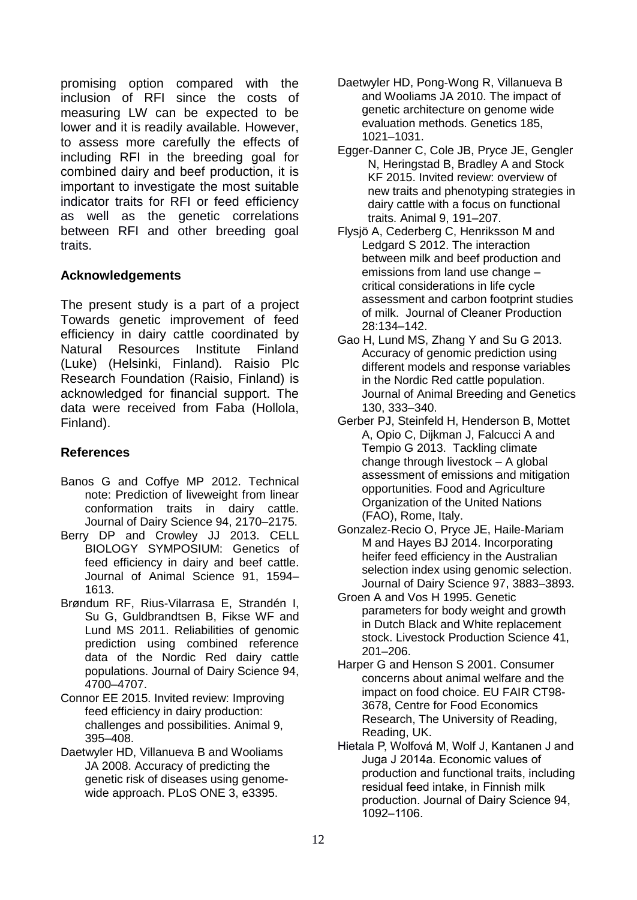promising option compared with the inclusion of RFI since the costs of measuring LW can be expected to be lower and it is readily available*.* However, to assess more carefully the effects of including RFI in the breeding goal for combined dairy and beef production, it is important to investigate the most suitable indicator traits for RFI or feed efficiency as well as the genetic correlations between RFI and other breeding goal traits.

## **Acknowledgements**

The present study is a part of a project Towards genetic improvement of feed efficiency in dairy cattle coordinated by Natural Resources Institute Finland (Luke) (Helsinki, Finland)*.* Raisio Plc Research Foundation (Raisio, Finland) is acknowledged for financial support. The data were received from Faba (Hollola, Finland).

## **References**

- Banos G and Coffye MP 2012. Technical note: Prediction of liveweight from linear conformation traits in dairy cattle. Journal of Dairy Science 94, 2170–2175.
- Berry DP and Crowley JJ 2013. CELL BIOLOGY SYMPOSIUM: Genetics of feed efficiency in dairy and beef cattle. Journal of Animal Science 91, 1594– 1613.
- Brøndum RF, Rius-Vilarrasa E, Strandén I, Su G, Guldbrandtsen B, Fikse WF and Lund MS 2011. Reliabilities of genomic prediction using combined reference data of the Nordic Red dairy cattle populations. Journal of Dairy Science 94, 4700–4707.
- Connor EE 2015. Invited review: Improving feed efficiency in dairy production: challenges and possibilities. Animal 9, 395–408.
- Daetwyler HD, Villanueva B and Wooliams JA 2008. Accuracy of predicting the genetic risk of diseases using genomewide approach. PLoS ONE 3, e3395.
- Daetwyler HD, Pong-Wong R, Villanueva B and Wooliams JA 2010. The impact of genetic architecture on genome wide evaluation methods. Genetics 185, 1021–1031.
- Egger-Danner C, Cole JB, Pryce JE, Gengler N, Heringstad B, Bradley A and Stock KF 2015. Invited review: overview of new traits and phenotyping strategies in dairy cattle with a focus on functional traits. Animal 9, 191–207.
- Flysjö A, Cederberg C, Henriksson M and Ledgard S 2012. The interaction between milk and beef production and emissions from land use change – critical considerations in life cycle assessment and carbon footprint studies of milk. Journal of Cleaner Production 28:134–142.
- Gao H, Lund MS, Zhang Y and Su G 2013. Accuracy of genomic prediction using different models and response variables in the Nordic Red cattle population. Journal of Animal Breeding and Genetics 130, 333–340.
- Gerber PJ, Steinfeld H, Henderson B, Mottet A, Opio C, Dijkman J, Falcucci A and Tempio G 2013. Tackling climate change through livestock – A global assessment of emissions and mitigation opportunities. Food and Agriculture Organization of the United Nations (FAO), Rome, Italy.
- Gonzalez-Recio O, Pryce JE, Haile-Mariam M and Hayes BJ 2014. Incorporating heifer feed efficiency in the Australian selection index using genomic selection. Journal of Dairy Science 97, 3883–3893.
- Groen A and Vos H 1995. Genetic parameters for body weight and growth in Dutch Black and White replacement stock. Livestock Production Science 41, 201–206.
- Harper G and Henson S 2001. Consumer concerns about animal welfare and the impact on food choice. EU FAIR CT98- 3678, Centre for Food Economics Research, The University of Reading, Reading, UK.
- Hietala P, Wolfová M, Wolf J, Kantanen J and Juga J 2014a. Economic values of production and functional traits, including residual feed intake, in Finnish milk production. Journal of Dairy Science 94, 1092–1106.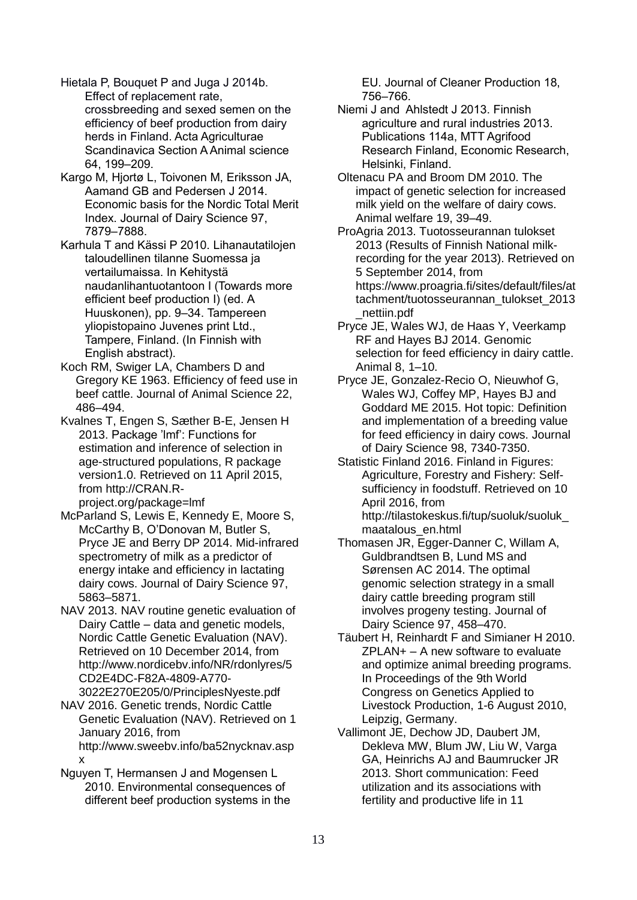Hietala P, Bouquet P and Juga J 2014b. Effect of replacement rate, crossbreeding and sexed semen on the efficiency of beef production from dairy herds in Finland. Acta Agriculturae Scandinavica Section A Animal science 64, 199–209.

- Kargo M, Hjortø L, Toivonen M, Eriksson JA, Aamand GB and Pedersen J 2014. Economic basis for the Nordic Total Merit Index. Journal of Dairy Science 97, 7879–7888.
- Karhula T and Kässi P 2010. Lihanautatilojen taloudellinen tilanne Suomessa ja vertailumaissa. In Kehitystä naudanlihantuotantoon I (Towards more efficient beef production I) (ed. A Huuskonen), pp. 9–34. Tampereen yliopistopaino Juvenes print Ltd., Tampere, Finland. (In Finnish with English abstract).
- Koch RM, Swiger LA, Chambers D and Gregory KE 1963. Efficiency of feed use in beef cattle. Journal of Animal Science 22, 486–494.
- Kvalnes T, Engen S, Sæther B-E, Jensen H 2013. Package 'lmf': Functions for estimation and inference of selection in age-structured populations, R package version1.0. Retrieved on 11 April 2015, from http://CRAN.Rproject.org/package=lmf
- McParland S, Lewis E, Kennedy E, Moore S, McCarthy B, O'Donovan M, Butler S, Pryce JE and Berry DP 2014. Mid-infrared spectrometry of milk as a predictor of energy intake and efficiency in lactating dairy cows. Journal of Dairy Science 97, 5863–5871.
- NAV 2013. NAV routine genetic evaluation of Dairy Cattle – data and genetic models, Nordic Cattle Genetic Evaluation (NAV). Retrieved on 10 December 2014, from http://www.nordicebv.info/NR/rdonlyres/5 CD2E4DC-F82A-4809-A770- 3022E270E205/0/PrinciplesNyeste.pdf
- NAV 2016. Genetic trends, Nordic Cattle Genetic Evaluation (NAV). Retrieved on 1 January 2016, from http://www.sweebv.info/ba52nycknav.asp x
- Nguyen T, Hermansen J and Mogensen L 2010. Environmental consequences of different beef production systems in the

EU. Journal of Cleaner Production 18, 756–766.

- Niemi J and Ahlstedt J 2013. Finnish agriculture and rural industries 2013. Publications 114a, MTT Agrifood Research Finland, Economic Research, Helsinki, Finland.
- Oltenacu PA and Broom DM 2010. The impact of genetic selection for increased milk yield on the welfare of dairy cows. Animal welfare 19, 39–49.
- ProAgria 2013. Tuotosseurannan tulokset 2013 (Results of Finnish National milkrecording for the year 2013). Retrieved on 5 September 2014, from https://www.proagria.fi/sites/default/files/at tachment/tuotosseurannan\_tulokset\_2013 \_nettiin.pdf
- Pryce JE, Wales WJ, de Haas Y, Veerkamp RF and Hayes BJ 2014. Genomic selection for feed efficiency in dairy cattle. Animal 8, 1–10.
- Pryce JE, Gonzalez-Recio O, [Nieuwhof](javascript:void(0);) G, Wales WJ, [Coffey](javascript:void(0);) MP, [Hayes](javascript:void(0);) BJ and Goddard ME 2015. Hot topic: Definition and implementation of a breeding value for feed efficiency in dairy cows. Journal of Dairy Science 98, 7340-7350.
- Statistic Finland 2016. Finland in Figures: Agriculture, Forestry and Fishery: Selfsufficiency in foodstuff. Retrieved on 10 April 2016, from http://tilastokeskus.fi/tup/suoluk/suoluk\_ maatalous\_en.html
- Thomasen JR, Egger-Danner C, Willam A, Guldbrandtsen B, Lund MS and Sørensen AC 2014. The optimal genomic selection strategy in a small dairy cattle breeding program still involves progeny testing. Journal of Dairy Science 97, 458–470.
- Täubert H, Reinhardt F and Simianer H 2010. ZPLAN+ – A new software to evaluate and optimize animal breeding programs. In Proceedings of the 9th World Congress on Genetics Applied to Livestock Production, 1-6 August 2010, Leipzig, Germany.
- Vallimont JE, Dechow JD, Daubert JM, Dekleva MW, Blum JW, Liu W, Varga GA, Heinrichs AJ and Baumrucker JR 2013. Short communication: Feed utilization and its associations with fertility and productive life in 11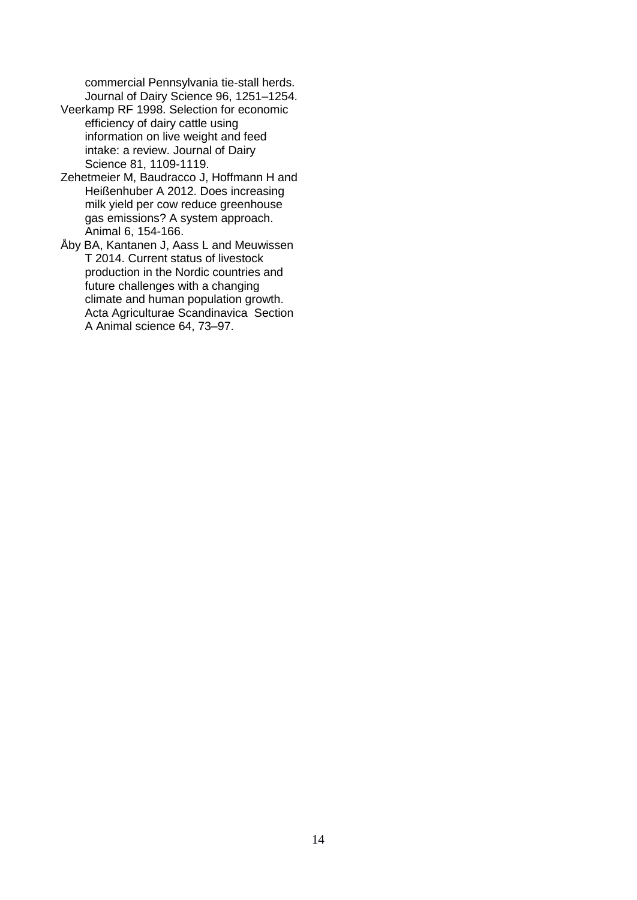commercial Pennsylvania tie-stall herds. Journal of Dairy Science 96, 1251–1254.

- Veerkamp RF 1998. Selection for economic efficiency of dairy cattle using information on live weight and feed intake: a review. Journal of Dairy Science 81, 1109-1119.
- Zehetmeier M, Baudracco J, Hoffmann H and Heißenhuber A 2012. Does increasing milk yield per cow reduce greenhouse gas emissions? A system approach. Animal 6, 154-166.
- Åby BA, Kantanen J, Aass L and Meuwissen T 2014. Current status of livestock production in the Nordic countries and future challenges with a changing climate and human population growth. Acta Agriculturae Scandinavica Section A Animal science 64, 73–97.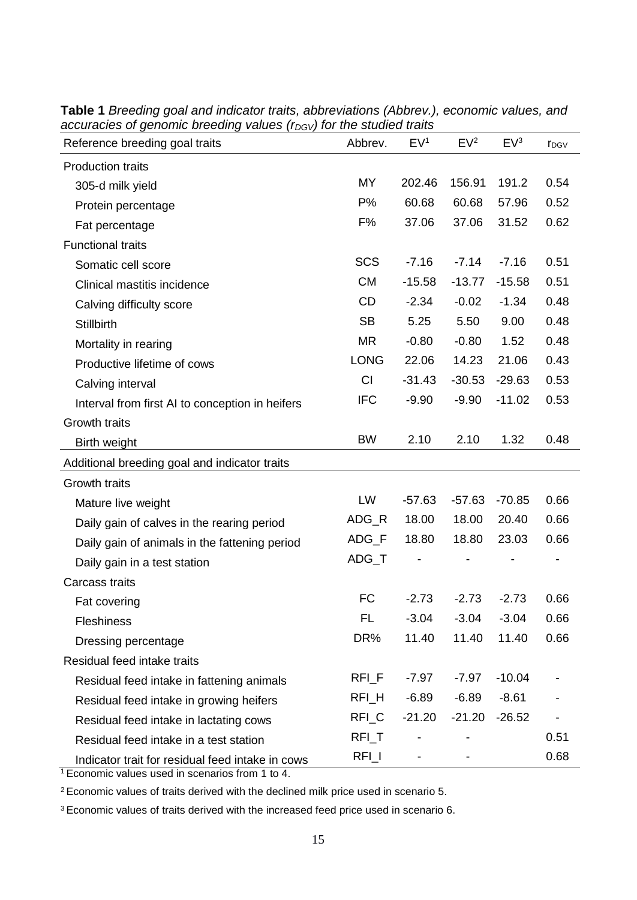| accuracies or genomic preeding values (rbGV) for the studied traits<br>Reference breeding goal traits | Abbrev.     | EV <sup>1</sup> | $EV^2$   | EV <sup>3</sup> | <b>r</b> <sub>DGV</sub>      |
|-------------------------------------------------------------------------------------------------------|-------------|-----------------|----------|-----------------|------------------------------|
| <b>Production traits</b>                                                                              |             |                 |          |                 |                              |
| 305-d milk yield                                                                                      | MY          | 202.46          | 156.91   | 191.2           | 0.54                         |
| Protein percentage                                                                                    | P%          | 60.68           | 60.68    | 57.96           | 0.52                         |
| Fat percentage                                                                                        | F%          | 37.06           | 37.06    | 31.52           | 0.62                         |
| <b>Functional traits</b>                                                                              |             |                 |          |                 |                              |
| Somatic cell score                                                                                    | <b>SCS</b>  | $-7.16$         | $-7.14$  | $-7.16$         | 0.51                         |
| Clinical mastitis incidence                                                                           | <b>CM</b>   | $-15.58$        | $-13.77$ | $-15.58$        | 0.51                         |
| Calving difficulty score                                                                              | CD          | $-2.34$         | $-0.02$  | $-1.34$         | 0.48                         |
| <b>Stillbirth</b>                                                                                     | <b>SB</b>   | 5.25            | 5.50     | 9.00            | 0.48                         |
| Mortality in rearing                                                                                  | <b>MR</b>   | $-0.80$         | $-0.80$  | 1.52            | 0.48                         |
| Productive lifetime of cows                                                                           | <b>LONG</b> | 22.06           | 14.23    | 21.06           | 0.43                         |
| Calving interval                                                                                      | CI          | $-31.43$        | $-30.53$ | $-29.63$        | 0.53                         |
| Interval from first AI to conception in heifers                                                       | <b>IFC</b>  | $-9.90$         | $-9.90$  | $-11.02$        | 0.53                         |
| <b>Growth traits</b>                                                                                  |             |                 |          |                 |                              |
| Birth weight                                                                                          | <b>BW</b>   | 2.10            | 2.10     | 1.32            | 0.48                         |
| Additional breeding goal and indicator traits                                                         |             |                 |          |                 |                              |
| <b>Growth traits</b>                                                                                  |             |                 |          |                 |                              |
| Mature live weight                                                                                    | LW          | $-57.63$        | $-57.63$ | $-70.85$        | 0.66                         |
| Daily gain of calves in the rearing period                                                            | $ADG_R$     | 18.00           | 18.00    | 20.40           | 0.66                         |
| Daily gain of animals in the fattening period                                                         | ADG_F       | 18.80           | 18.80    | 23.03           | 0.66                         |
| Daily gain in a test station                                                                          | $ADG_T$     |                 |          |                 | $\qquad \qquad \blacksquare$ |
| Carcass traits                                                                                        |             |                 |          |                 |                              |
| Fat covering                                                                                          | <b>FC</b>   | $-2.73$         | $-2.73$  | $-2.73$         | 0.66                         |
| <b>Fleshiness</b>                                                                                     | FL.         | $-3.04$         | $-3.04$  | $-3.04$         | 0.66                         |
| Dressing percentage                                                                                   | DR%         | 11.40           | 11.40    | 11.40           | 0.66                         |
| Residual feed intake traits                                                                           |             |                 |          |                 |                              |
| Residual feed intake in fattening animals                                                             | $RFL$ F     | $-7.97$         | $-7.97$  | $-10.04$        |                              |
| Residual feed intake in growing heifers                                                               | RFI_H       | $-6.89$         | $-6.89$  | $-8.61$         |                              |
| Residual feed intake in lactating cows                                                                | $RFL_C$     | $-21.20$        | $-21.20$ | $-26.52$        |                              |
| Residual feed intake in a test station                                                                | RFI         |                 |          |                 | 0.51                         |
| Indicator trait for residual feed intake in cows                                                      | RFL         |                 |          |                 | 0.68                         |

**Table 1** *Breeding goal and indicator traits, abbreviations (Abbrev.), economic values, and accuracies of genomic breeding values (rDGV) for the studied traits*

<sup>1</sup> Economic values used in scenarios from 1 to 4.

<sup>2</sup> Economic values of traits derived with the declined milk price used in scenario 5.

<sup>3</sup> Economic values of traits derived with the increased feed price used in scenario 6.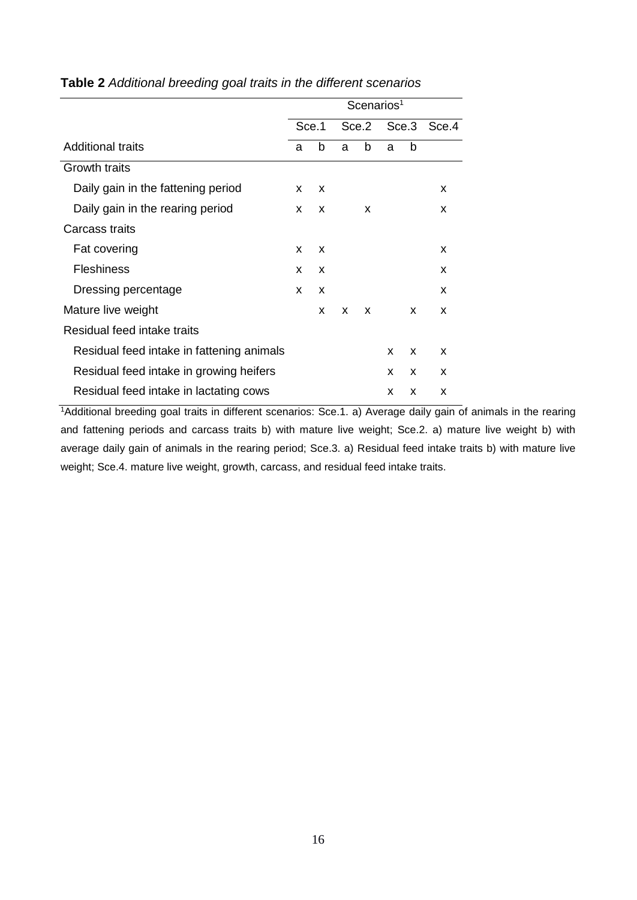|                                           | Scenarios <sup>1</sup> |   |   |   |                   |   |   |  |
|-------------------------------------------|------------------------|---|---|---|-------------------|---|---|--|
|                                           | Sce.1                  |   |   |   | Sce.2 Sce.3 Sce.4 |   |   |  |
| <b>Additional traits</b>                  | a                      | b | a | b | a                 | b |   |  |
| <b>Growth traits</b>                      |                        |   |   |   |                   |   |   |  |
| Daily gain in the fattening period        | X                      | X |   |   |                   |   | x |  |
| Daily gain in the rearing period          | <b>X</b>               | X |   | x |                   |   | X |  |
| Carcass traits                            |                        |   |   |   |                   |   |   |  |
| Fat covering                              | X                      | X |   |   |                   |   | X |  |
| <b>Fleshiness</b>                         | x                      | X |   |   |                   |   | X |  |
| Dressing percentage                       | x                      | X |   |   |                   |   | x |  |
| Mature live weight                        |                        | X | X | X |                   | x | X |  |
| Residual feed intake traits               |                        |   |   |   |                   |   |   |  |
| Residual feed intake in fattening animals |                        |   |   |   | X                 | X | x |  |
| Residual feed intake in growing heifers   |                        |   |   |   | X                 | X | X |  |
| Residual feed intake in lactating cows    |                        |   |   |   | x                 | X | x |  |

#### **Table 2** *Additional breeding goal traits in the different scenarios*

1Additional breeding goal traits in different scenarios: Sce.1. a) Average daily gain of animals in the rearing and fattening periods and carcass traits b) with mature live weight; Sce.2. a) mature live weight b) with average daily gain of animals in the rearing period; Sce.3. a) Residual feed intake traits b) with mature live weight; Sce.4. mature live weight, growth, carcass, and residual feed intake traits.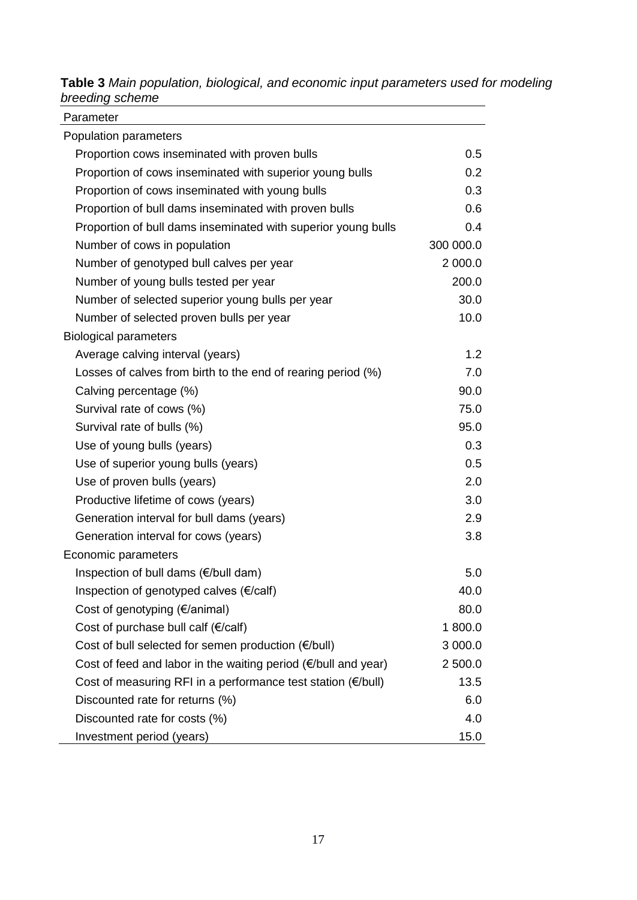**Table 3** *Main population, biological, and economic input parameters used for modeling breeding scheme* 

| Parameter                                                                 |           |
|---------------------------------------------------------------------------|-----------|
| Population parameters                                                     |           |
| Proportion cows inseminated with proven bulls                             | 0.5       |
| Proportion of cows inseminated with superior young bulls                  | 0.2       |
| Proportion of cows inseminated with young bulls                           | 0.3       |
| Proportion of bull dams inseminated with proven bulls                     | 0.6       |
| Proportion of bull dams inseminated with superior young bulls             | 0.4       |
| Number of cows in population                                              | 300 000.0 |
| Number of genotyped bull calves per year                                  | 2 000.0   |
| Number of young bulls tested per year                                     | 200.0     |
| Number of selected superior young bulls per year                          | 30.0      |
| Number of selected proven bulls per year                                  | 10.0      |
| <b>Biological parameters</b>                                              |           |
| Average calving interval (years)                                          | 1.2       |
| Losses of calves from birth to the end of rearing period (%)              | 7.0       |
| Calving percentage (%)                                                    | 90.0      |
| Survival rate of cows (%)                                                 | 75.0      |
| Survival rate of bulls (%)                                                | 95.0      |
| Use of young bulls (years)                                                | 0.3       |
| Use of superior young bulls (years)                                       | 0.5       |
| Use of proven bulls (years)                                               | 2.0       |
| Productive lifetime of cows (years)                                       | 3.0       |
| Generation interval for bull dams (years)                                 | 2.9       |
| Generation interval for cows (years)                                      | 3.8       |
| Economic parameters                                                       |           |
| Inspection of bull dams $(\epsilon$ /bull dam)                            | 5.0       |
| Inspection of genotyped calves (€/calf)                                   | 40.0      |
| Cost of genotyping $(E/\text{animal})$                                    | 80.0      |
| Cost of purchase bull calf $(E/calf)$                                     | 1800.0    |
| Cost of bull selected for semen production $(E/bull)$                     | 3 000.0   |
| Cost of feed and labor in the waiting period ( $\epsilon$ /bull and year) | 2 500.0   |
| Cost of measuring RFI in a performance test station $(E/bull)$            | 13.5      |
| Discounted rate for returns (%)                                           | 6.0       |
| Discounted rate for costs (%)                                             | 4.0       |
| Investment period (years)                                                 | 15.0      |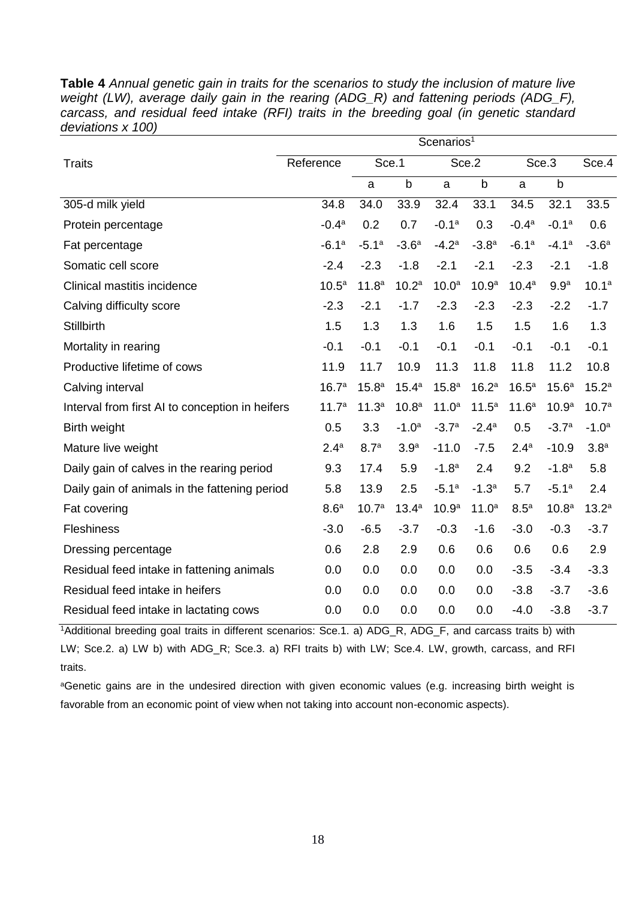**Table 4** *Annual genetic gain in traits for the scenarios to study the inclusion of mature live weight (LW), average daily gain in the rearing (ADG\_R) and fattening periods (ADG\_F), carcass, and residual feed intake (RFI) traits in the breeding goal (in genetic standard deviations x 100)*

|                                                 | Scenarios <sup>1</sup> |                   |                   |                   |                   |                   |                   |                   |
|-------------------------------------------------|------------------------|-------------------|-------------------|-------------------|-------------------|-------------------|-------------------|-------------------|
| <b>Traits</b>                                   | Reference              | Sce.1             |                   | Sce.2             |                   | Sce.3             |                   | Sce.4             |
|                                                 |                        | a                 | $\mathsf b$       | a                 | $\mathsf b$       | a                 | b                 |                   |
| 305-d milk yield                                | 34.8                   | 34.0              | 33.9              | 32.4              | 33.1              | 34.5              | 32.1              | 33.5              |
| Protein percentage                              | $-0.4a$                | 0.2               | 0.7               | $-0.1a$           | 0.3               | $-0.4a$           | $-0.1a$           | 0.6               |
| Fat percentage                                  | $-6.1a$                | $-5.1a$           | $-3.6a$           | $-4.2a$           | $-3.8a$           | $-6.1a$           | $-4.1a$           | $-3.6a$           |
| Somatic cell score                              | $-2.4$                 | $-2.3$            | $-1.8$            | $-2.1$            | $-2.1$            | $-2.3$            | $-2.1$            | $-1.8$            |
| Clinical mastitis incidence                     | 10.5 <sup>a</sup>      | 11.8 <sup>a</sup> | 10.2 <sup>a</sup> | 10.0 <sup>a</sup> | 10.9 <sup>a</sup> | 10.4 <sup>a</sup> | 9.9 <sup>a</sup>  | 10.1 <sup>a</sup> |
| Calving difficulty score                        | $-2.3$                 | $-2.1$            | $-1.7$            | $-2.3$            | $-2.3$            | $-2.3$            | $-2.2$            | $-1.7$            |
| <b>Stillbirth</b>                               | 1.5                    | 1.3               | 1.3               | 1.6               | 1.5               | 1.5               | 1.6               | 1.3               |
| Mortality in rearing                            | $-0.1$                 | $-0.1$            | $-0.1$            | $-0.1$            | $-0.1$            | $-0.1$            | $-0.1$            | $-0.1$            |
| Productive lifetime of cows                     | 11.9                   | 11.7              | 10.9              | 11.3              | 11.8              | 11.8              | 11.2              | 10.8              |
| Calving interval                                | 16.7 <sup>a</sup>      | 15.8 <sup>a</sup> | $15.4^{a}$        | 15.8 <sup>a</sup> | 16.2 <sup>a</sup> | 16.5 <sup>a</sup> | 15.6 <sup>a</sup> | 15.2 <sup>a</sup> |
| Interval from first AI to conception in heifers | 11.7 <sup>a</sup>      | 11.3 <sup>a</sup> | 10.8 <sup>a</sup> | 11.0 <sup>a</sup> | $11.5^a$          | 11.6 <sup>a</sup> | 10.9 <sup>a</sup> | 10.7 <sup>a</sup> |
| Birth weight                                    | 0.5                    | 3.3               | $-1.0a$           | $-3.7a$           | $-2.4^{\circ}$    | 0.5               | $-3.7a$           | $-1.0a$           |
| Mature live weight                              | 2.4 <sup>a</sup>       | 8.7 <sup>a</sup>  | 3.9 <sup>a</sup>  | $-11.0$           | $-7.5$            | 2.4 <sup>a</sup>  | $-10.9$           | 3.8 <sup>a</sup>  |
| Daily gain of calves in the rearing period      | 9.3                    | 17.4              | 5.9               | $-1.8a$           | 2.4               | 9.2               | $-1.8a$           | 5.8               |
| Daily gain of animals in the fattening period   | 5.8                    | 13.9              | 2.5               | $-5.1a$           | $-1.3a$           | 5.7               | $-5.1a$           | 2.4               |
| Fat covering                                    | 8.6 <sup>a</sup>       | 10.7 <sup>a</sup> | $13.4^{a}$        | 10.9 <sup>a</sup> | 11.0 <sup>a</sup> | 8.5 <sup>a</sup>  | 10.8 <sup>a</sup> | 13.2 <sup>a</sup> |
| <b>Fleshiness</b>                               | $-3.0$                 | $-6.5$            | $-3.7$            | $-0.3$            | $-1.6$            | $-3.0$            | $-0.3$            | $-3.7$            |
| Dressing percentage                             | 0.6                    | 2.8               | 2.9               | 0.6               | 0.6               | 0.6               | 0.6               | 2.9               |
| Residual feed intake in fattening animals       | 0.0                    | 0.0               | 0.0               | 0.0               | 0.0               | $-3.5$            | $-3.4$            | $-3.3$            |
| Residual feed intake in heifers                 | 0.0                    | 0.0               | 0.0               | 0.0               | 0.0               | $-3.8$            | $-3.7$            | $-3.6$            |
| Residual feed intake in lactating cows          | 0.0                    | 0.0               | 0.0               | 0.0               | 0.0               | $-4.0$            | $-3.8$            | $-3.7$            |

 $1$ Additional breeding goal traits in different scenarios: Sce.1. a) ADG\_R, ADG\_F, and carcass traits b) with LW; Sce.2. a) LW b) with ADG\_R; Sce.3. a) RFI traits b) with LW; Sce.4. LW, growth, carcass, and RFI traits.

aGenetic gains are in the undesired direction with given economic values (e.g. increasing birth weight is favorable from an economic point of view when not taking into account non-economic aspects).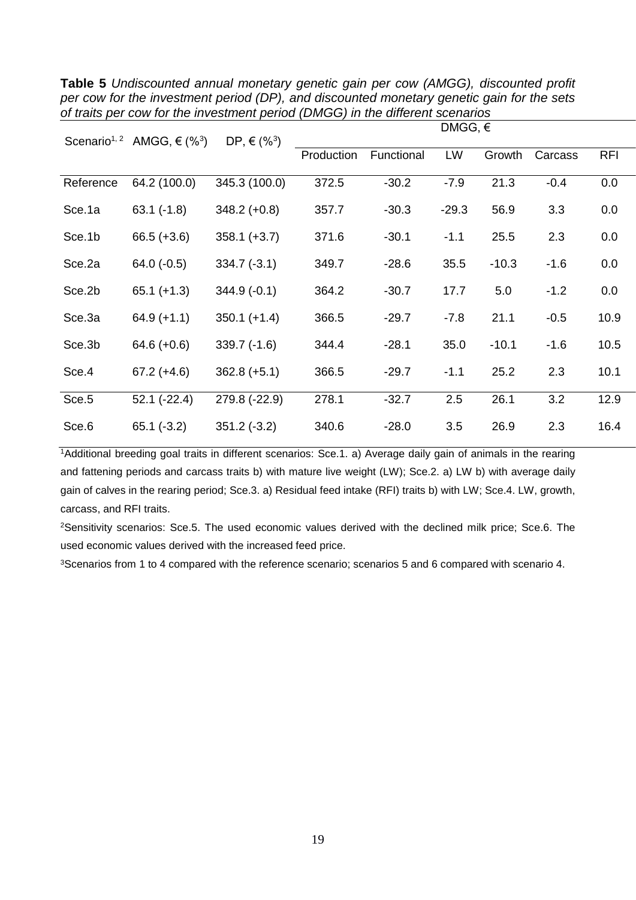|           | Scenario <sup>1, 2</sup> AMGG, $\in$ (% <sup>3</sup> ) | DP, € $(\frac{9}{3})$ | DMGG, $€$  |            |         |         |         |            |
|-----------|--------------------------------------------------------|-----------------------|------------|------------|---------|---------|---------|------------|
|           |                                                        |                       | Production | Functional | LW      | Growth  | Carcass | <b>RFI</b> |
| Reference | 64.2 (100.0)                                           | 345.3 (100.0)         | 372.5      | $-30.2$    | $-7.9$  | 21.3    | $-0.4$  | 0.0        |
| Sce.1a    | $63.1(-1.8)$                                           | $348.2 (+0.8)$        | 357.7      | $-30.3$    | $-29.3$ | 56.9    | 3.3     | 0.0        |
| Sce.1b    | $66.5 (+3.6)$                                          | $358.1 (+3.7)$        | 371.6      | $-30.1$    | $-1.1$  | 25.5    | 2.3     | 0.0        |
| Sce.2a    | $64.0(-0.5)$                                           | $334.7(-3.1)$         | 349.7      | $-28.6$    | 35.5    | $-10.3$ | $-1.6$  | 0.0        |
| Sce.2b    | $65.1 (+1.3)$                                          | $344.9(-0.1)$         | 364.2      | $-30.7$    | 17.7    | 5.0     | $-1.2$  | 0.0        |
| Sce.3a    | $64.9 (+1.1)$                                          | $350.1 (+1.4)$        | 366.5      | $-29.7$    | $-7.8$  | 21.1    | $-0.5$  | 10.9       |
| Sce.3b    | $64.6 (+0.6)$                                          | $339.7(-1.6)$         | 344.4      | $-28.1$    | 35.0    | $-10.1$ | $-1.6$  | 10.5       |
| Sce.4     | $67.2 (+4.6)$                                          | $362.8 (+5.1)$        | 366.5      | $-29.7$    | $-1.1$  | 25.2    | 2.3     | 10.1       |
| Sce.5     | $52.1 (-22.4)$                                         | 279.8 (-22.9)         | 278.1      | $-32.7$    | 2.5     | 26.1    | 3.2     | 12.9       |
| Sce.6     | $65.1(-3.2)$                                           | $351.2(-3.2)$         | 340.6      | $-28.0$    | 3.5     | 26.9    | 2.3     | 16.4       |

**Table 5** *Undiscounted annual monetary genetic gain per cow (AMGG), discounted profit per cow for the investment period (DP), and discounted monetary genetic gain for the sets of traits per cow for the investment period (DMGG) in the different scenarios*

<sup>1</sup>Additional breeding goal traits in different scenarios: Sce.1. a) Average daily gain of animals in the rearing and fattening periods and carcass traits b) with mature live weight (LW); Sce.2. a) LW b) with average daily gain of calves in the rearing period; Sce.3. a) Residual feed intake (RFI) traits b) with LW; Sce.4. LW, growth, carcass, and RFI traits.

<sup>2</sup>Sensitivity scenarios: Sce.5. The used economic values derived with the declined milk price; Sce.6. The used economic values derived with the increased feed price.

3Scenarios from 1 to 4 compared with the reference scenario; scenarios 5 and 6 compared with scenario 4.